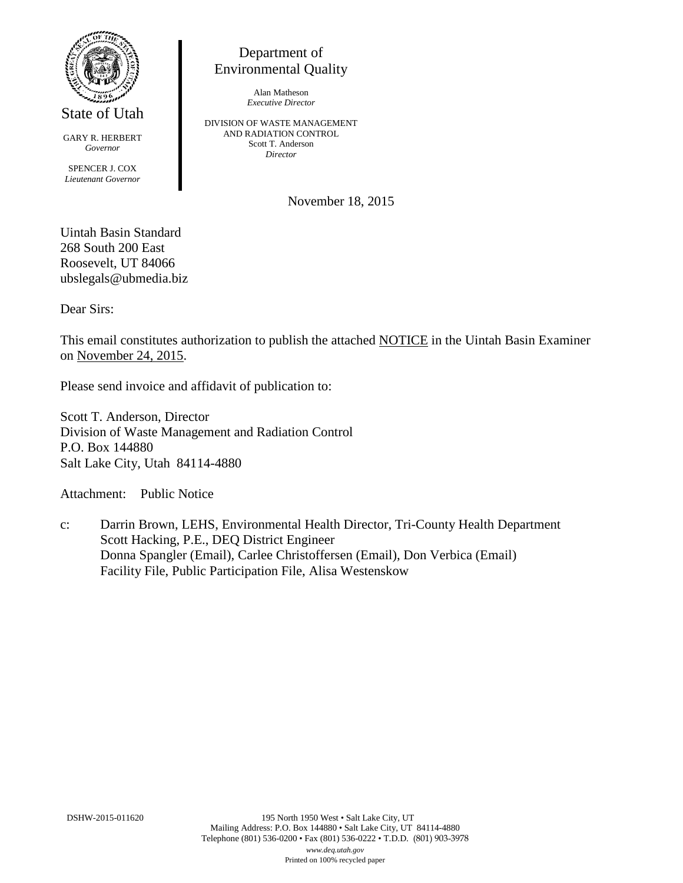

State of Utah

GARY R. HERBERT *Governor* SPENCER J. COX *Lieutenant Governor*

Department of Environmental Quality

> Alan Matheson *Executive Director*

DIVISION OF WASTE MANAGEMENT AND RADIATION CONTROL Scott T. Anderson *Director*

November 18, 2015

Uintah Basin Standard 268 South 200 East Roosevelt, UT 84066 ubslegals@ubmedia.biz

Dear Sirs:

This email constitutes authorization to publish the attached NOTICE in the Uintah Basin Examiner on November 24, 2015.

Please send invoice and affidavit of publication to:

Scott T. Anderson, Director Division of Waste Management and Radiation Control P.O. Box 144880 Salt Lake City, Utah 84114-4880

Attachment: Public Notice

c: Darrin Brown, LEHS, Environmental Health Director, Tri-County Health Department Scott Hacking, P.E., DEQ District Engineer Donna Spangler (Email), Carlee Christoffersen (Email), Don Verbica (Email) Facility File, Public Participation File, Alisa Westenskow